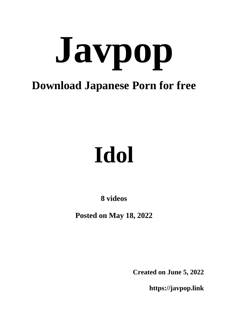

# **[Idol](https://javpop.link/category/idol)**

**8 videos**

**Posted on May 18, 2022**

**Created on June 5, 2022**

**<https://javpop.link>**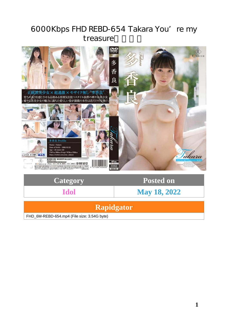# [6000Kbps FHD REBD-654 Takara You're my](https://javpop.link/6000kbps-fhd-rebd-654) treasure



**Category Posted on** 

**[Idol](https://javpop.link/category/idol) [May 18, 2022](https://javpop.link/2022/05/18)**

### **Rapidgator**

[FHD\\_6M-REBD-654.mp4](https://rapidgator.net/file/157f2164c2ce021fe7c24c179e561036/FHD_6M-REBD-654.mp4.html) (File size: 3.54G byte)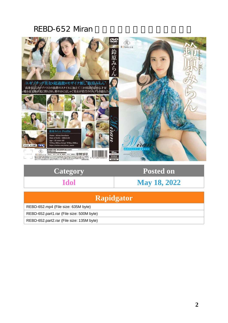# REBD-652 Mran



**[Idol](https://javpop.link/category/idol) [May 18, 2022](https://javpop.link/2022/05/18)**

### **Rapidgator**

[REBD-652.mp4](https://rapidgator.net/file/525b7ce7829fbc5bc41ec2f57f4f96d7/REBD-652.mp4.html) (File size: 635M byte)

[REBD-652.part1.rar](https://rapidgator.net/file/4ef1a06ccac696e363dfbc586c38daad/REBD-652.part1.rar.html) (File size: 500M byte)

[REBD-652.part2.rar](https://rapidgator.net/file/ff2b48fa18087d19ea4391b0475df964/REBD-652.part2.rar.html) (File size: 135M byte)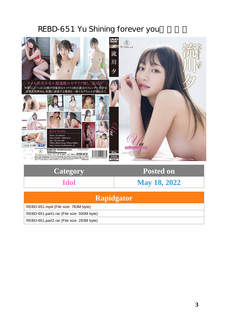# REBD-651 Yu Shining forever you



**[Idol](https://javpop.link/category/idol) [May 18, 2022](https://javpop.link/2022/05/18)**

### **Rapidgator**

[REBD-651.mp4](https://rapidgator.net/file/928085cccd45218afd70a34734d0a5bd/REBD-651.mp4.html) (File size: 783M byte)

[REBD-651.part1.rar](https://rapidgator.net/file/8f9640c10c440736d1c0923d850744bf/REBD-651.part1.rar.html) (File size: 500M byte)

[REBD-651.part2.rar](https://rapidgator.net/file/6e2c4b87153c513efbe1a618ffab1a3d/REBD-651.part2.rar.html) (File size: 283M byte)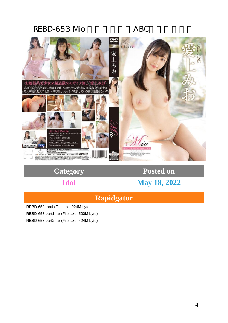# REBD-653 Mio ABC



**Category Posted on** 

# **[Idol](https://javpop.link/category/idol) [May 18, 2022](https://javpop.link/2022/05/18)**

### **Rapidgator**

[REBD-653.mp4](https://rapidgator.net/file/7fef44443ddfe2dacc9651173dbc1cb0/REBD-653.mp4.html) (File size: 924M byte)

[REBD-653.part1.rar](https://rapidgator.net/file/69080a0fe09ef22ccea909c743b6c06b/REBD-653.part1.rar.html) (File size: 500M byte)

[REBD-653.part2.rar](https://rapidgator.net/file/cb26529a06d29e6bd25915e00d822869/REBD-653.part2.rar.html) (File size: 424M byte)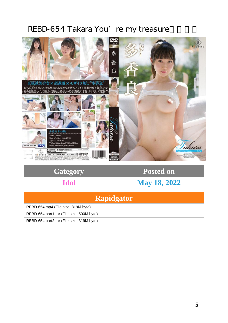### REBD-654 Takara You're my treasure



**Category Posted on**

#### **[Idol](https://javpop.link/category/idol) [May 18, 2022](https://javpop.link/2022/05/18)**

### **Rapidgator**

[REBD-654.mp4](https://rapidgator.net/file/ad3edae2603d090767d30af2763b3f51/REBD-654.mp4.html) (File size: 819M byte)

[REBD-654.part1.rar](https://rapidgator.net/file/906c672f772d5b51c55c3c441fabdcce/REBD-654.part1.rar.html) (File size: 500M byte)

[REBD-654.part2.rar](https://rapidgator.net/file/6228e2d30fa38cb6afa746ce4355da07/REBD-654.part2.rar.html) (File size: 319M byte)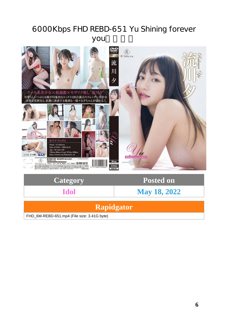# [6000Kbps FHD REBD-651 Yu Shining forever](https://javpop.link/6000kbps-fhd-rebd-651) you



#### **Rapidgator**

[FHD\\_6M-REBD-651.mp4](https://rapidgator.net/file/1da4840efc9ef030df73180d13ad5f40/FHD_6M-REBD-651.mp4.html) (File size: 3.41G byte)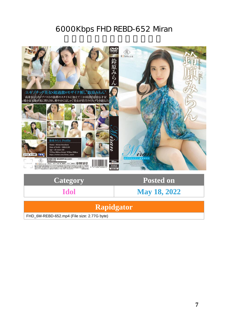# [6000Kbps FHD REBD-652 Miran](https://javpop.link/6000kbps-fhd-rebd-652)



**[Idol](https://javpop.link/category/idol) [May 18, 2022](https://javpop.link/2022/05/18)**

# **Rapidgator**

[FHD\\_6M-REBD-652.mp4](https://rapidgator.net/file/1ede6fa0f2058f3a926e6e1a2584db8d/FHD_6M-REBD-652.mp4.html) (File size: 2.77G byte)